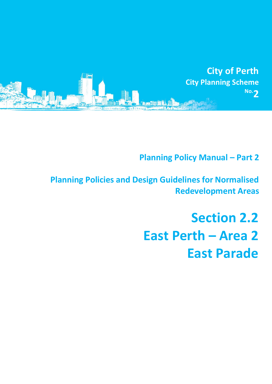

**Planning Policy Manual - Part 2** 

**Planning Policies and Design Guidelines for Normalised Redevelopment Areas**

> **Section 2.2 East Perth – Area 2 East Parade**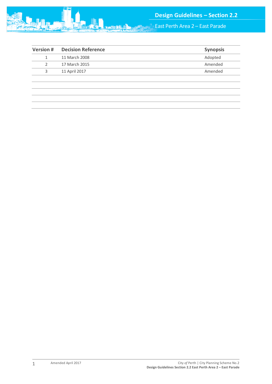

 $\mathbb{P}_\mathbb{P}$  East Perth Area 2 – East Parade

| <b>Version#</b> | <b>Decision Reference</b> | <b>Synopsis</b> |
|-----------------|---------------------------|-----------------|
| 1               | 11 March 2008             | Adopted         |
| $\mathcal{P}$   | 17 March 2015             | Amended         |
| 3               | 11 April 2017             | Amended         |
|                 |                           |                 |
|                 |                           |                 |
|                 |                           |                 |
|                 |                           |                 |
|                 |                           |                 |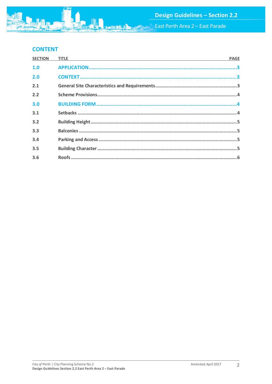East Perth Area 2 - East Parade

# **CONTENT**

| <b>SECTION</b> | TITLE <b>THE REPORT OF A REPORT OF A REPORT OF A REPORT OF A REPORT OF A REPORT OF A REPORT OF A REPORT OF A REPORT OF A REPORT OF A REPORT OF A REPORT OF A REPORT OF A REPORT OF A REPORT OF A REPORT OF A REPORT OF A REPORT </b> | <b>PAGE</b> |
|----------------|--------------------------------------------------------------------------------------------------------------------------------------------------------------------------------------------------------------------------------------|-------------|
| 1.0            |                                                                                                                                                                                                                                      |             |
| 2.0            |                                                                                                                                                                                                                                      |             |
| 2.1            |                                                                                                                                                                                                                                      |             |
| 2.2            |                                                                                                                                                                                                                                      |             |
| 3.0            |                                                                                                                                                                                                                                      |             |
| 3.1            |                                                                                                                                                                                                                                      |             |
| 3.2            |                                                                                                                                                                                                                                      |             |
| 3.3            |                                                                                                                                                                                                                                      |             |
| 3.4            |                                                                                                                                                                                                                                      |             |
| 3.5            |                                                                                                                                                                                                                                      |             |
| 3.6            |                                                                                                                                                                                                                                      |             |

**Farith**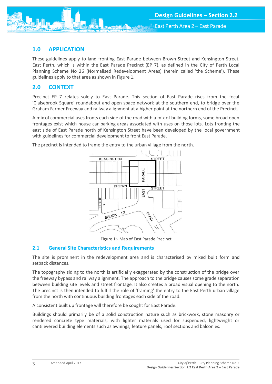East Perth Area 2 – East Parade

## <span id="page-3-0"></span>**1.0 APPLICATION**

These guidelines apply to land fronting East Parade between Brown Street and Kensington Street, East Perth, which is within the East Parade Precinct (EP 7), as defined in the City of Perth Local Planning Scheme No 26 (Normalised Redevelopment Areas) (herein called 'the Scheme'). These guidelines apply to that area as shown in Figure 1.

## <span id="page-3-1"></span>**2.0 CONTEXT**

Precinct EP 7 relates solely to East Parade. This section of East Parade rises from the focal 'Claisebrook Square' roundabout and open space network at the southern end, to bridge over the Graham Farmer Freeway and railway alignment at a higher point at the northern end of the Precinct.

A mix of commercial uses fronts each side of the road with a mix of building forms, some broad open frontages exist which house car parking areas associated with uses on those lots. Lots fronting the east side of East Parade north of Kensington Street have been developed by the local government with guidelines for commercial development to front East Parade.

The precinct is intended to frame the entry to the urban village from the north.



Figure 1:- Map of East Parade Precinct

## <span id="page-3-2"></span>**2.1 General Site Characteristics and Requirements**

The site is prominent in the redevelopment area and is characterised by mixed built form and setback distances.

The topography siding to the north is artificially exaggerated by the construction of the bridge over the freeway bypass and railway alignment. The approach to the bridge causes some grade separation between building site levels and street frontage. It also creates a broad visual opening to the north. The precinct is then intended to fulfill the role of 'framing' the entry to the East Perth urban village from the north with continuous building frontages each side of the road.

A consistent built up frontage will therefore be sought for East Parade.

Buildings should primarily be of a solid construction nature such as brickwork, stone masonry or rendered concrete type materials, with lighter materials used for suspended, lightweight or cantilevered building elements such as awnings, feature panels, roof sections and balconies.

3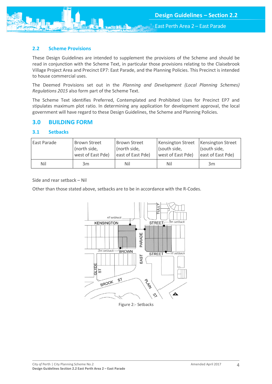## <span id="page-4-0"></span>**2.2 Scheme Provisions**

These Design Guidelines are intended to supplement the provisions of the Scheme and should be read in conjunction with the Scheme Text, in particular those provisions relating to the Claisebrook Village Project Area and Precinct EP7: East Parade, and the Planning Policies. This Precinct is intended to house commercial uses.

The Deemed Provisions set out in the *Planning and Development (Local Planning Schemes) Regulations 2015* also form part of the Scheme Text.

The Scheme Text identifies Preferred, Contemplated and Prohibited Uses for Precinct EP7 and stipulates maximum plot ratio. In determining any application for development approval, the local government will have regard to these Design Guidelines, the Scheme and Planning Policies.

## <span id="page-4-1"></span>**3.0 BUILDING FORM**

#### <span id="page-4-2"></span>**3.1 Setbacks**

| East Parade | <b>Brown Street</b> | <b>Brown Street</b> | <b>Kensington Street</b> | <b>Kensington Street</b> |
|-------------|---------------------|---------------------|--------------------------|--------------------------|
|             | (north side,        | (north side,        | (south side,             | (south side,             |
|             | west of East Pde)   | east of East Pde)   | west of East Pde)        | east of East Pde)        |
| Nil         | 3m                  | Nil                 | Nil                      | 3m                       |

Side and rear setback – Nil

Other than those stated above, setbacks are to be in accordance with the R-Codes.



Figure 2:- Setbacks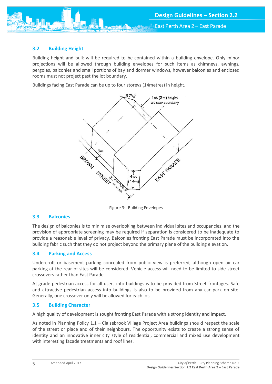East Perth Area 2 – East Parade

### <span id="page-5-0"></span>**3.2 Building Height**

Building height and bulk will be required to be contained within a building envelope. Only minor projections will be allowed through building envelopes for such items as chimneys, awnings, pergolas, balconies and small portions of bay and dormer windows, however balconies and enclosed rooms must not project past the lot boundary.

Buildings facing East Parade can be up to four storeys (14metres) in height.



Figure 3:- Building Envelopes

#### <span id="page-5-1"></span>**3.3 Balconies**

The design of balconies is to minimise overlooking between individual sites and occupancies, and the provision of appropriate screening may be required if separation is considered to be inadequate to provide a reasonable level of privacy. Balconies fronting East Parade must be incorporated into the building fabric such that they do not project beyond the primary plane of the building elevation.

#### <span id="page-5-2"></span>**3.4 Parking and Access**

Undercroft or basement parking concealed from public view is preferred, although open air car parking at the rear of sites will be considered. Vehicle access will need to be limited to side street crossovers rather than East Parade.

At-grade pedestrian access for all users into buildings is to be provided from Street frontages. Safe and attractive pedestrian access into buildings is also to be provided from any car park on site. Generally, one crossover only will be allowed for each lot.

#### <span id="page-5-3"></span>**3.5 Building Character**

A high quality of development is sought fronting East Parade with a strong identity and impact.

As noted in Planning Policy 1.1 – Claisebrook Village Project Area buildings should respect the scale of the street or place and of their neighbours. The opportunity exists to create a strong sense of identity and an innovative inner city style of residential, commercial and mixed use development with interesting facade treatments and roof lines.

5